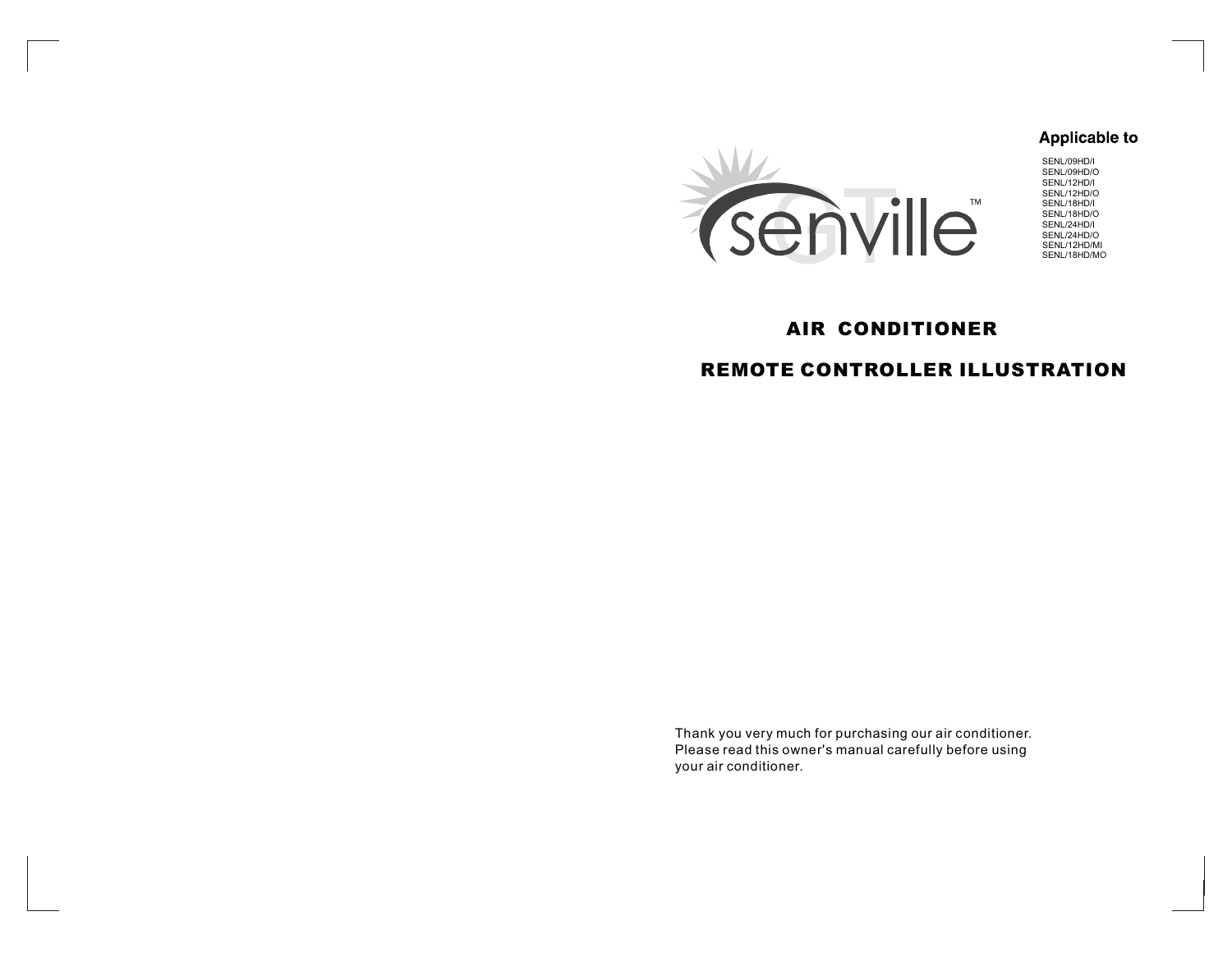# **Applicable to**



SENL/09HD/I SENL/09HD/O SENL/12HD/I SENL/12HD/O SENL/18HD/I SENL/18HD/O SENL/24HD/I SENL/24HD/O SENL/12HD/MI SENL/18HD/MO

# AIR CONDITIONER

# REMOTE CONTROLLER ILLUSTRATION

Thank you very much for purchasing our air conditioner. Please read this owner's manual carefully before using your air conditioner.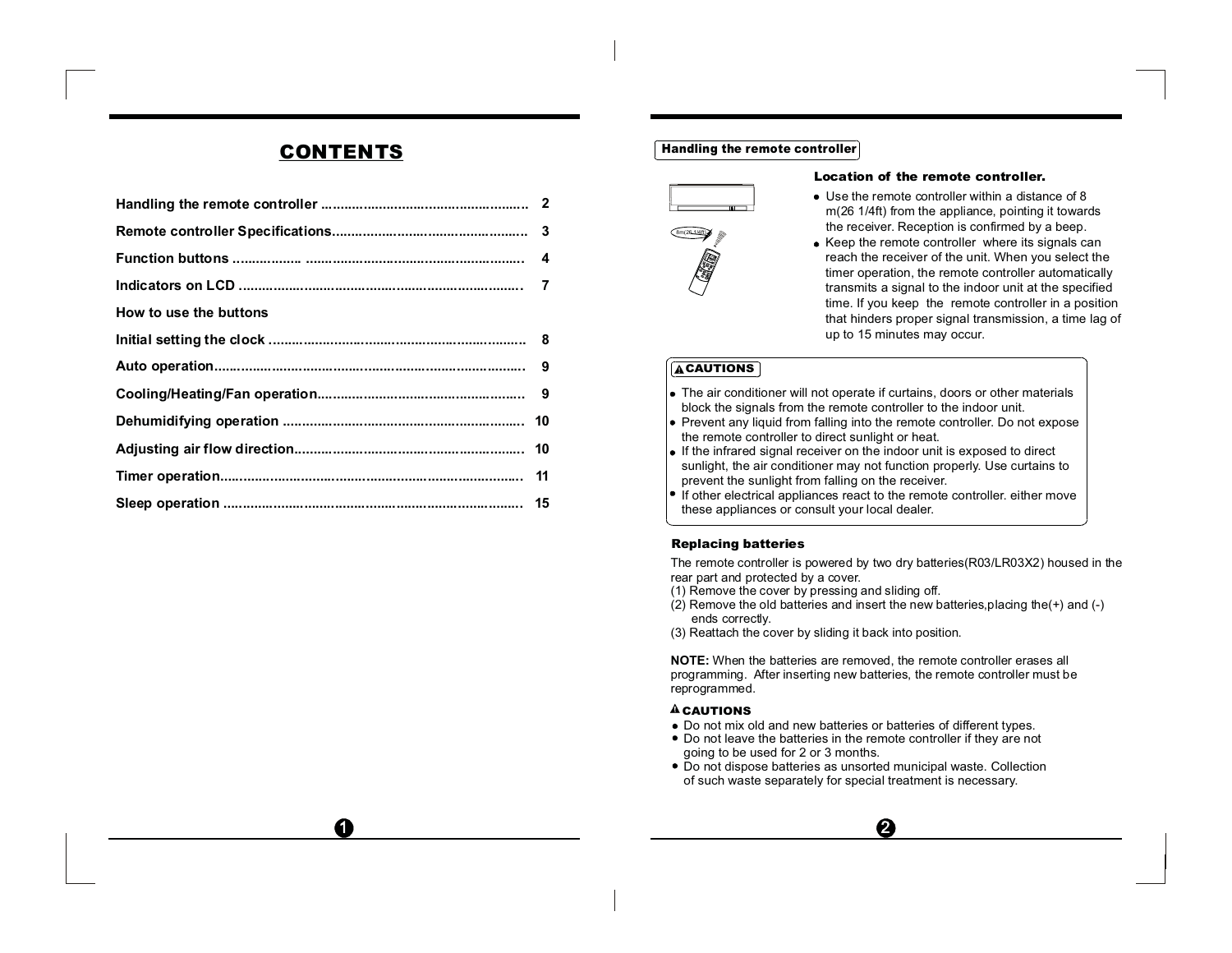# CONTENTS

| How to use the buttons |  |
|------------------------|--|
|                        |  |
|                        |  |
|                        |  |
|                        |  |
|                        |  |
|                        |  |
|                        |  |

 $\Omega$ 

#### Handling the remote controller



#### Location of the remote controller.

- Use the remote controller within a distance of 8m(26 1/4ft) from the appliance, pointing it towards the receiver. Reception is confirmed by <sup>a</sup> beep.
- Keep the remote controller where its signals can reach the receiver of the unit. When you select the timer operation, the remote controller automatically transmits <sup>a</sup> signal to the indoor unit at the specified time. If you keep the remote controller in <sup>a</sup> position that hinders proper signal transmission, <sup>a</sup> time lag of up to 15 minutes may occur.

#### **ACAUTIONS**

- The air conditioner will not operate if curtains, doors or other materials block the signals from the remote controller to the indoor unit.
- Prevent any liquid from falling into the remote controller. Do not expose the remote controller to direct sunlight or heat.
- If the infrared signal receiver on the indoor unit is exposed to direct sunlight, the air conditioner may not function properly. Use curtains to prevent the sunlight from falling on the receiver.
- If other electrical appliances react to the remote controller, either move these appliances or consult your local dealer.

#### Replacing batteries

The remote controller is powered by two dry batteries(R03/LR03X2) housed in the rear part and protected by <sup>a</sup> cover.

- (1) Remove the cover by pressing and sliding off.
- (2) Remove the old batteries and insert the new batteries,placing the(+) and (-) ends correctly.

(3) Reattach the cover by sliding it back into position.

**NOTE:** When the batteries are removed, the remote controller erases all programming. After inserting new batteries, the remote controller must be reprogrammed.

#### **A** CAUTIONS

- Do not mix old and new batteries or batteries of different types.
- Do not leave the batteries in the remote controller if they are not going to be used for 2 or 3 months.
- Do not dispose batteries as unsorted municipal waste. Collection of such waste separately for special treatment is necessary.

❷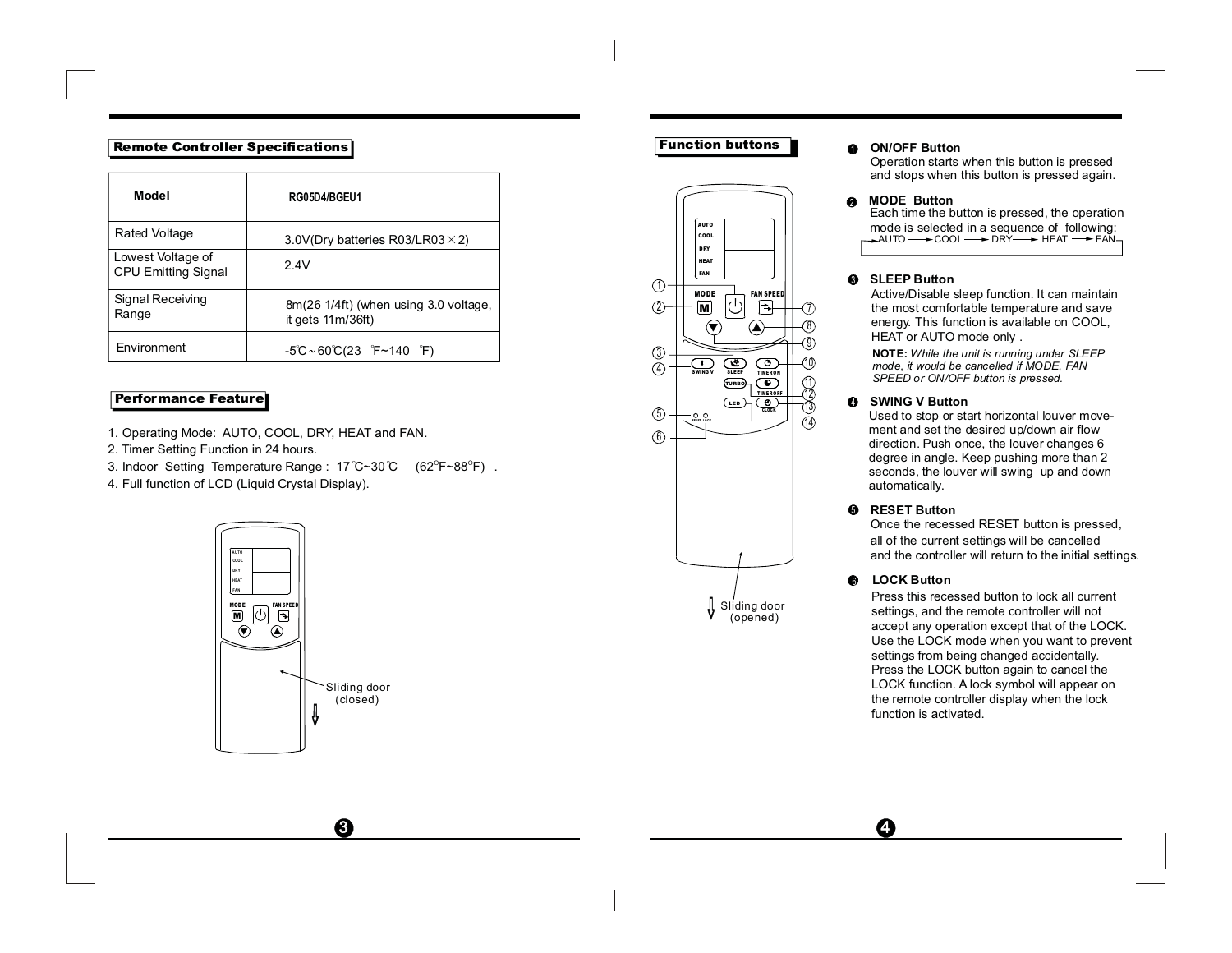#### Remote Controller Specifications

| Model                                           | RG05D4/BGEU1                                               |
|-------------------------------------------------|------------------------------------------------------------|
| <b>Rated Voltage</b>                            | 3.0V(Dry batteries R03/LR03 $\times$ 2)                    |
| Lowest Voltage of<br><b>CPU Emitting Signal</b> | 2.4V                                                       |
| Signal Receiving<br>Range                       | 8m(26 1/4ft) (when using 3.0 voltage,<br>it gets 11m/36ft) |
| <b>Fnvironment</b>                              | $-5^{\circ}$ C ~ 60 $\circ$ C(23 F ~ 140 F)                |

#### Performance Feature

- 1. Operating Mode: AUTO, COOL, DRY, HEAT and FAN.
- 2. Timer Setting Function in 24 hours.
- 3. Indoor Setting Temperature Range : 17 °C~30 °C (62°F~88°F) .
- 4. Full function of LCD (Liquid Crystal Display).



 $\boldsymbol{\Theta}$ 

# Function buttons



#### 1**ON/OFF Button**

 Operation starts when this button is pressed and stops when this button is pressed again.

#### $\boldsymbol{Q}$ **MODE Button**

Each time the button is pressed, the operation mode is selected in <sup>a</sup> sequence of following: AUTO ━━━ COOL ━━━ DRY ━━━ HEAT ━━ FAN

#### $\bullet$ **SLEEP Button**

Active/Disable sleep function. It can maintain the most comfortable temperature and save energy. This function is available on COOL, HEAT or AUTO mode only .

**NOTE:** *While the unit is running under SLEEP mode, it would be cancelled if MODE, FAN SPEED or ON/OFF button is pressed.*

#### $\bullet$ **SWING V Button**

 Used to stop or start horizontal louver movement and set the desired up/down air flow direction. Push once, the louver changes 6 degree in angle. Keep pushing more than 2 seconds, the louver will swing up and down automatically.

#### 5 **RESET Button**

 Once the recessed RESET button is pressed, all of the current settings will be cancelled and the controller will return to the initial settings.

#### 6**LOCK Button**

Ð

Press this recessed button to lock all currentsettings, and the remote controller will not accept any operation except that of the LOCK. Use the LOCK mode when you want to prevent settings from being changed accidentally. Press the LOCK button again to cancel the LOCK function. A lock symbol will appear on the remote controller display when the lock function is activated.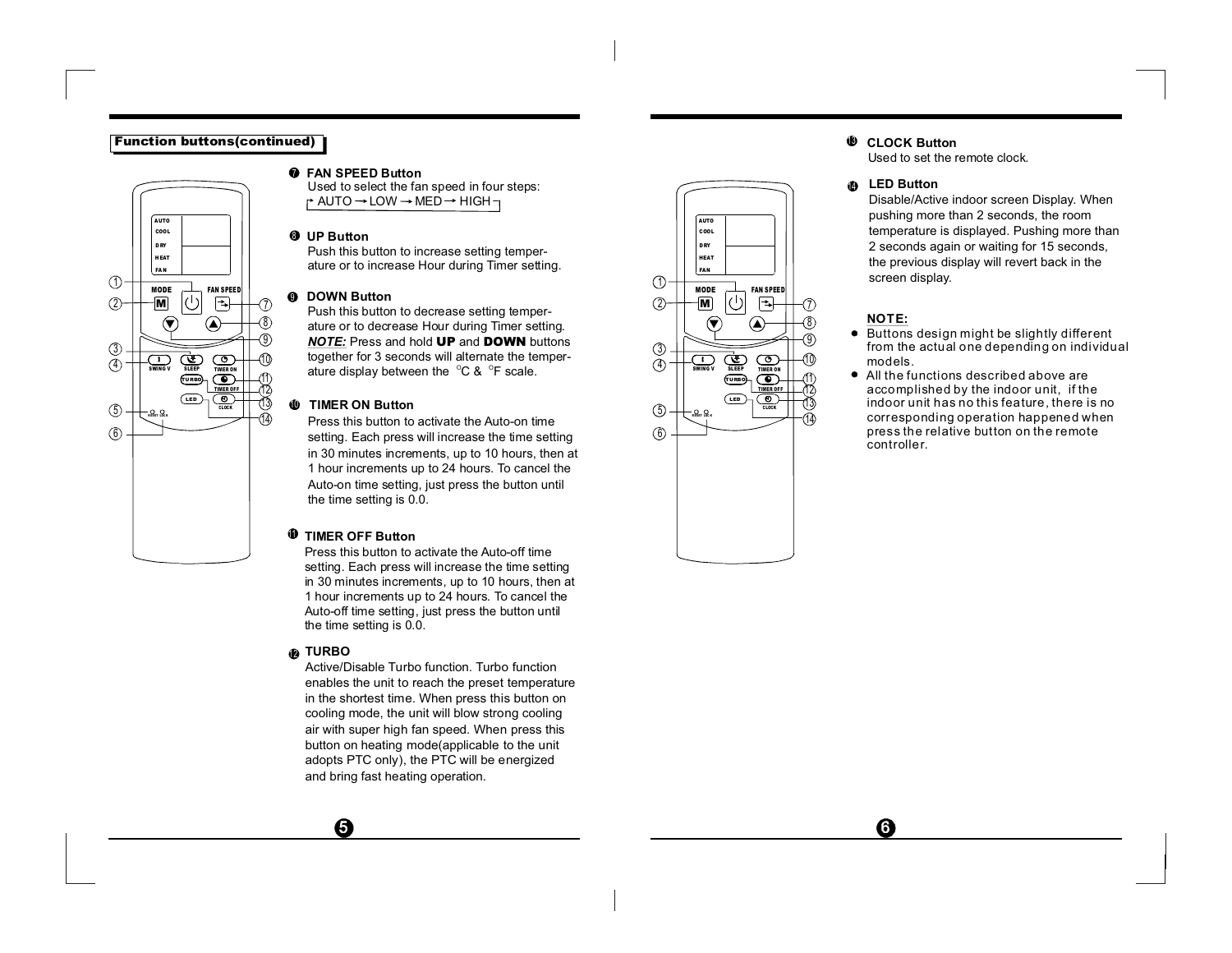### Function buttons(continued)



#### **FAN SPEED Button**7

Used to select the fan speed in four steps:  $\uparrow$  AUTO  $\rightarrow$  LOW  $\rightarrow$  MED  $\rightarrow$  HIGH  $\rightarrow$ 

#### 8 **UP Button**

Push this button to increase setting temperature or to increase Hour during Timer setting.

#### 0 **DOWN Button**

Push this button to decrease setting temperature or to decrease Hour during Timer setting. *NOTE:* **Press and hold UP and DOWN** buttons together for 3 seconds will alternate the temperature display between the  $\,{}^{\circ}\textsf{C}$  &  $\,{}^{\circ}\textsf{F}$  scale.

#### 10**TIMER ON Button**

Press this button to activate the Auto-on timesetting. Each press will increase the time setting in 30 minutes increments, up to 10 hours, then at 1 hour increments up to 24 hours. To cancel the Auto-on time setting, just press the button until the time setting is 0.0.

#### 11 **TIMER OFF Button**

Press this button to activate the Auto-off timesetting. Each press will increase the time setting in 30 minutes increments, up to 10 hours, then at 1 hour increments up to 24 hours. To cancel the Auto-off time setting, just press the button until the time setting is 0.0.

#### **TURBO** 12

 $\boldsymbol{\Theta}$ 

Active/Disable Turbo function. Turbo functionenables the unit to reach the preset temperature in the shortest time. When press this button on cooling mode, the unit will blow strong cooling air with super high fan speed. When press this button on heating mode(applicable to the unit adopts PTC only), the PTC will be energized and bring fast heating operation.



#### 13 **CLOCK Button**

Used to set the remote clock.

#### **LED Button**14

Disable/Active indoor screen Display. When pushing more than 2 seconds, the room temperature is displayed. Pushing more than 2 seconds again or waiting for 15 seconds, the previous display will revert back in the screen display.

## **NOTE:**

- Buttons design might be slightly different from the actual one depending on individual models.
- All the functions desc ribed above are accomplished by the indoor unit, if the indoor unit has no this feature, there is no corresponding operation happened when press the relative button on the remote controller.

 $\boldsymbol{\Omega}$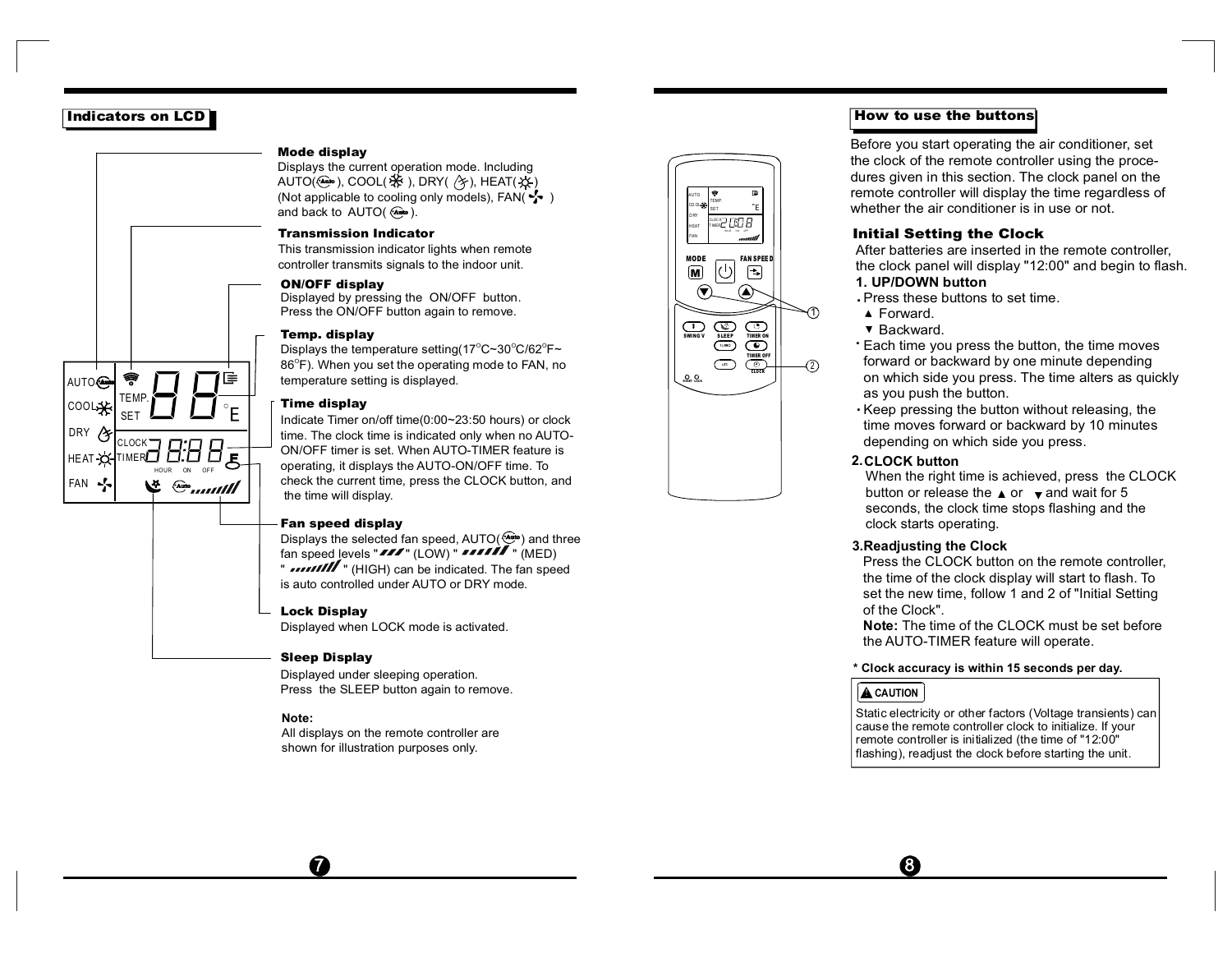# Indicators on LCD

AUTO<sup>®</sup> COOL DRY HEAT FAN

TEMP.SETCLOCKTIMER

#### Mode display

Displays the current operation mode. Including AUTO( $\circledast$ ), COOL( $\circledast$ ), DRY( $\circledast$ ), HEAT( $\circledast$ ) (Not applicable to cooling only models), FAN( $\frac{1}{2}$ ) and back to AUTO( ). **AUTO**

#### Transmission Indicator

This transmission indicator lights when remote controller transmits signals to the indoor unit.

#### ON/OFF display

Displayed by pressing the ON/OFF button. Press the ON/OFF button again to remove.

#### Temp. display

Displays the temperature setting(17°C~30°C/62°F~ 86 $^{\circ}$ F). When you set the operating mode to FAN, no temperature setting is displayed.

#### Time display

E

HOUR ON OFF

些

 $\frac{1}{2}$  and the set of the set of  $\frac{1}{2}$ 

Indicate Timer on/off time(0:00~23:50 hours) or clock time. The clock time is indicated only when no AUTO-ON/OFF timer is set. When AUTO-TIMER feature is operating, it displays the AUTO-ON/OFF time. To check the current time, press the CLOCK button, and the time will display.

#### Fan speed display

Displays the selected fan speed, AUTO( فَبَيْنَا ) and three fan speed <u>l</u>evels "דוש" (LOW) " " " (MED) " *•••••••••* " (HIGH) can be indicated. The fan speed is auto controlled under AUTO or DRY mode.

### Lock Display

Displayed when LOCK mode is activated.

#### Sleep Display

Displayed under sleeping operation. Press the SLEEP button again to remove.

#### **Note:**

 $\boldsymbol{a}$ 

All displays on the remote controller are shown for illustration purposes only.



### How to use the buttons

Before you start operating the air conditioner, set the clock of the remote controller using the procedures given in this section. The clock panel on the remote controller will display the time regardless of whether the air conditioner is in use or not.

#### Initial Setting the Clock

After batteries are inserted in the remote controller, the clock panel will display "12:00" and begin to flash. **1. UP/DOWN button**

- Press these buttons to set time..
- ▲ Forward.
- **v** Backward.
- Each time you press the button, the time moves . forward or backward by one minute depending on which side you press. The time alters as quickly as you push the button.
- Keep pressing the button without releasing, the . time moves forward or backward by 10 minutes depending on which side you press.

#### **2.CLOCK button**

When the right time is achieved, press the CLOCK button or release the  $\triangle$  or  $\triangledown$  and wait for 5 seconds, the clock time stops flashing and the clock starts operating.

#### **3.Readjusting the Clock**

Press the CLOCK button on the remote controller, the time of the clock display will start to flash. To set the new time, follow 1 and 2 of "Initial Setting of the Clock".

**Note:** The time of the CLOCK must be set before the AUTO-TIMER feature will operate.

#### **\* Clock accuracy is within 15 seconds per day.**

## **A** CAUTION

Ô

Static electricity or other factors (Voltage transients) can cause the remote controller clock to initialize. If your remote controller is initialized (the time of "12:00" flashing), readjust the clock before starting the unit.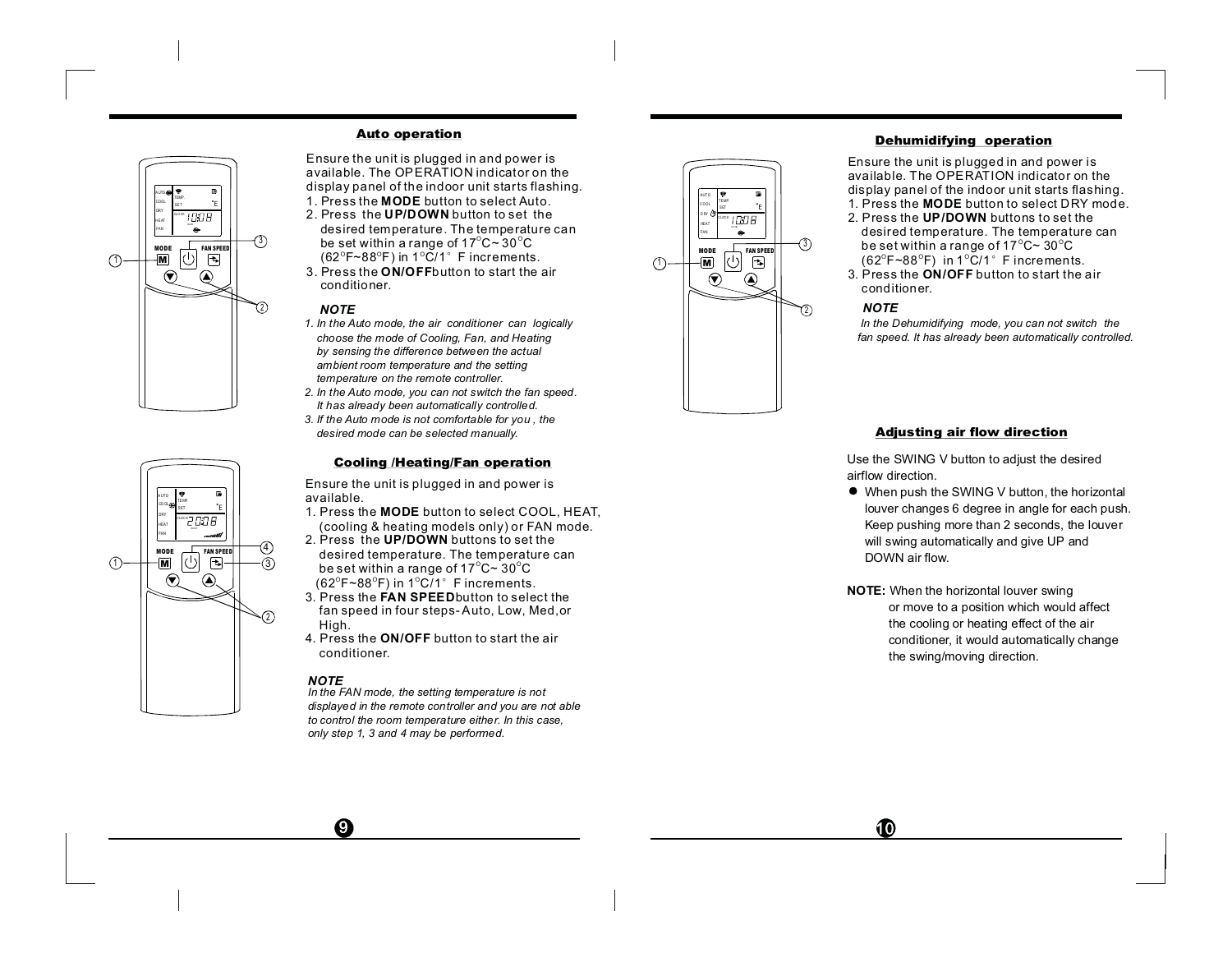



#### Auto operation

**MODE**1. Press the button to select Auto.Ensure the unit is plugged in and power is available. The OPERATION indicator on the display panel of the indoor unit starts flashing.

- 2. Press the **UP/DOWN** button to set the desired temperature. The temperature can be set within a range of 17 $^{\circ}$ C $\sim$  30 $^{\circ}$ C
- 3. Press the **ON/OFF**button to start the air conditioner.

#### *NOTE*

- *1. In the Auto mode, the air conditioner can logically choose the mode of Cooling, Fan, and Heating by sensing the difference between the actual ambient room temperature and the setting temperature on the remote controller.*
- *2. In the Auto mode, you can not switch the fan speed. It has already been automatically controlled.*
- *3. If the Auto mode is not comfortable for you , the desired mode can be selected manually.*

#### Cooling /Heating/Fan operation

Ensure the unit is plugged in and power is available.

- 1. Press the **MODE** button to select COOL, HEAT, (cooling & heating models only) or FAN mode.
- 2. Press\_the **UP/DOWN** buttons to set the desired temperature. The temperature can be set within a range of 17 $^{\circ}$ C~ 30 $^{\circ}$ C
- 3. Press the **FAN SPEED** button to select the fan speed in four steps- Auto, Low, Med,or (62 $^{\circ}$ F~88 $^{\circ}$ F) in 1 $^{\circ}$ C/1 $^{\circ}\,$  F increments.
- 4. Press the **ON/OFF** button to start the air High. conditioner.

#### *NOTE*

 $\boldsymbol{\Omega}$ 

*In the FAN mode, the setting temperature is not displayed in the remote controller and you are not able to control the room temperature either. In this case, only step 1, 3 and 4 may be performed.*



#### Dehumidifying operation

1. Press the **MODE** button to select DRY mode. Ensure the unit is plugged in and power is available. The OPERATION indicator on the display panel of the indoor unit starts flashing.

- 2. Press the **UP/DOWN** buttons to set the
- 3. Press the  $\mathsf{ON}/\mathsf{OFF}$  button to start the air desired temperature. The temperature can be set within a range of 17°C~ 30°C (62 $^{\circ}$ F~88 $^{\circ}$ F) in 1 $^{\circ}$ C/1 $^{\circ}$  F increments.
- conditioner.

#### *NOTE*

*In the Dehumidifying mode, you can not switch the fan speed. It has already been automatically controlled.*

#### Adjusting air flow direction

Use the SWING V button to adjust the desired airflow direction.

- When push the SWING V button, the horizontal louver changes 6 degree in angle for each push. Keep pushing more than 2 seconds, the louver will swing automatically and give UP and DOWN air flow.
- **NOTE:** When the horizontal louver swing or move to <sup>a</sup> position which would affect the cooling or heating effect of the air conditioner, it would automatically change the swing/moving direction.

 $\bf \Phi$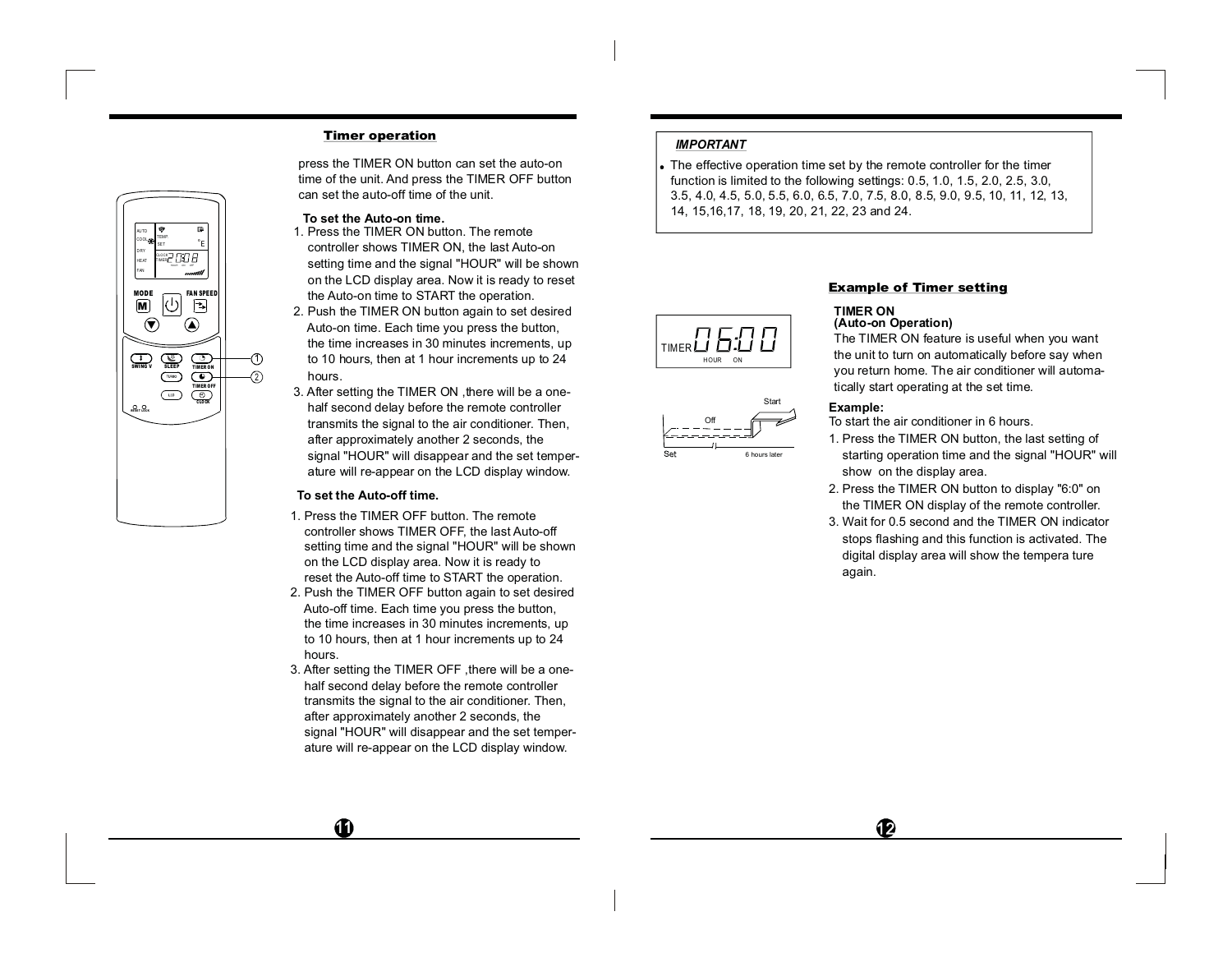### Timer operation

**AUTO** TEMP.COOLSETDRY00 B HEATTIMERHOU R ON OFFFANMODE $\begin{tabular}{|c|c|} \hline $\circ$ & \texttt{FAN SPEEI} \\ \hline $\left\langle \cdot \right\rangle$ & $\overline{\bigoplus}$ \\ \hline \end{tabular}$ 国 M  $\left( \bigtriangledown \right)$  $\circledast$  $\begin{picture}(180,10) \put(0,0){\line(1,0){10}} \put(10,0){\line(1,0){10}} \put(10,0){\line(1,0){10}} \put(10,0){\line(1,0){10}} \put(10,0){\line(1,0){10}} \put(10,0){\line(1,0){10}} \put(10,0){\line(1,0){10}} \put(10,0){\line(1,0){10}} \put(10,0){\line(1,0){10}} \put(10,0){\line(1,0){10}} \put(10,0){\line(1,0){10}} \put(10,0){\line($ 1P TIMERON 2 T IM ER O FF $\overline{\mathcal{L}}$  $\circ$   $\circ$ CLO CK

press the TIMER ON button can set the auto-on time of the unit. And press the TIMER OFF button can set the auto-off time of the unit.

#### **To set the Auto-on time.**

- 1. Press the TIMER ON button. The remote controller shows TIMER ON, the last Auto-on setting time and the signal "HOUR" will be shown on the LCD display area. Now it is ready to reset the Auto-on time to START the operation.
- 2. Push the TIMER ON button again to set desired Auto-on time. Each time you press the button, the time increases in 30 minutes increments, up to 10 hours, then at 1 hour increments up to 24 hours.
- 3. After setting the TIMER ON ,there will be <sup>a</sup> onehalf second delay before the remote controller transmits the signal to the air conditioner. Then, after approximately another 2 seconds, the signal "HOUR" will disappear and the set temperature will re-appear on the LCD display window.

## **To set the Auto-off time.**

- 1. Press the TIMER OFF button. The remotecontroller shows TIMER OFF, the last Auto-off setting time and the signal "HOUR" will be shown on the LCD display area. Now it is ready to reset the Auto-off time to START the operation.
- 2. Push the TIMER OFF button again to set desired Auto-off time. Each time you press the button, the time increases in 30 minutes increments, up to 10 hours, then at 1 hour increments up to 24 hours.
- 3. After setting the TIMER OFF ,there will be <sup>a</sup> onehalf second delay before the remote controller transmits the signal to the air conditioner. Then, after approximately another 2 seconds, the signal "HOUR" will disappear and the set temperature will re-appear on the LCD display window.

## *IMPORTANT*

The effective operation time set by the remote controller for the timer function is limited to the following settings: 0.5, 1.0, 1.5, 2.0, 2.5, 3.0, 3.5, 4.0, 4.5, 5.0, 5.5, 6.0, 6.5, 7.0, 7.5, 8.0, 8.5, 9.0, 9.5, 10, 11, 12, 13, 14, 15,16,17, 18, 19, 20, 21, 22, 23 and 24.





# Example of Timer setting

#### **(Auto-on Operation) TIMER ON**

The TIMER ON feature is useful when you want the unit to turn on automatically before say when you return home. The air conditioner will automatically start operating at the set time.

### **Example:**

To start the air conditioner in 6 hours.

- 1. Press the TIMER ON button, the last setting of starting operation time and the signal "HOUR" will show on the display area.
- 2. Press the TIMER ON button to display "6:0" on the TIMER ON display of the remote controller.
- 3. Wait for 0.5 second and the TIMER ON indicator stops flashing and this function is activated. The digital display area will show the tempera ture again.

 $\mathbf P$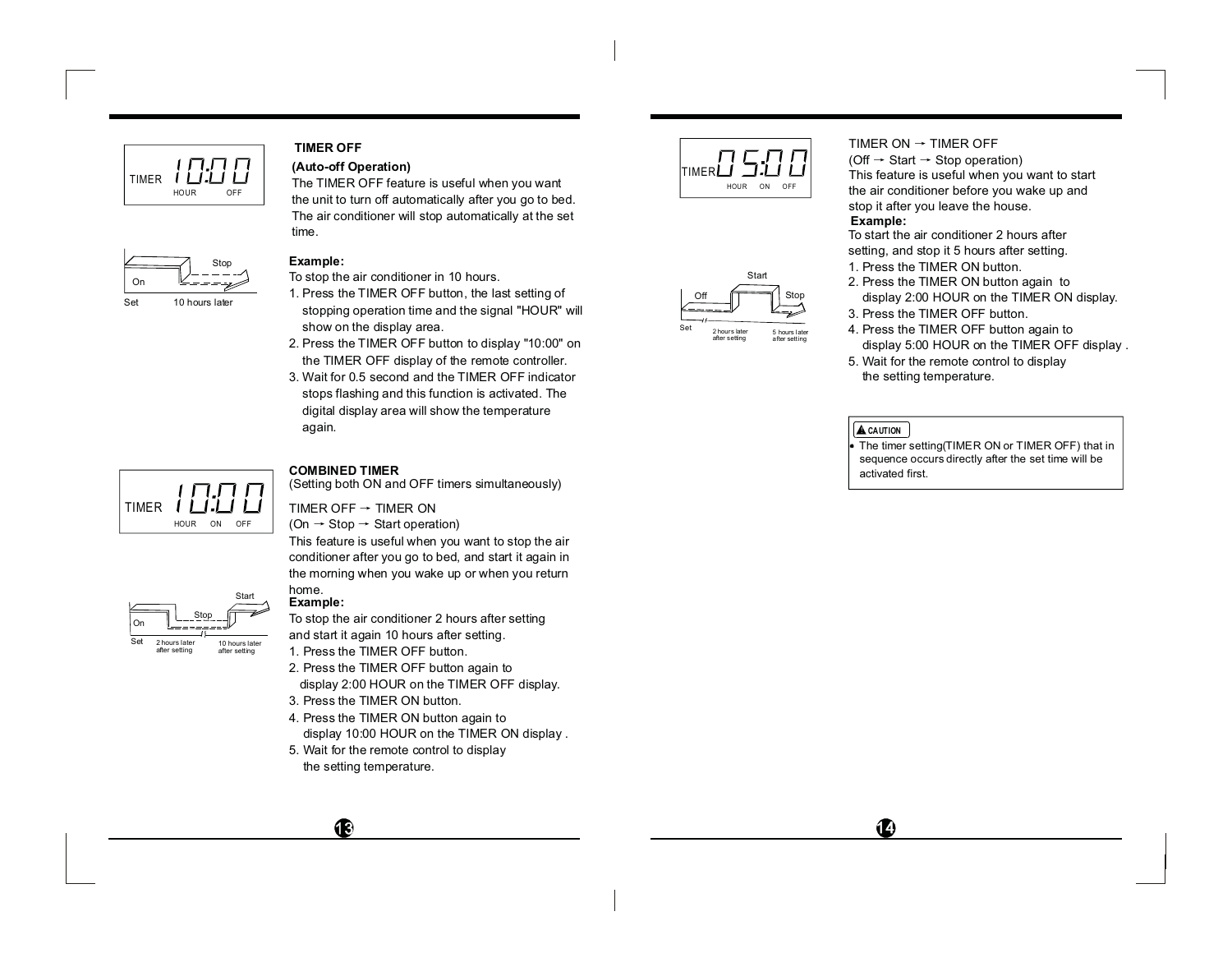

# **TIMER OFF**

**(Auto-off Operation)** The TIMER OFF feature is useful when you want the unit to turn off automatically after you go to bed. The air conditioner will stop automatically at the set time.



#### **Example:**

To stop the air conditioner in 10 hours.

- 1. Press the TIMER OFF button, the last setting of stopping operation time and the signal "HOUR" will show on the display area.
- 2. Press the TIMER OFF button to display "10:00" on the TIMER OFF display of the remote controller.
- 3. Wait for 0.5 second and the TIMER OFF indicatorstops flashing and this function is activated. The digital display area will show the temperature again.



Stop

Start

10 hours later after setting

2 hours laterafter setting

On

Set

#### **COMBINED TIMER**

(Setting both ON and OFF timers simultaneously)

#### TIMER OFF  $\rightarrow$  TIMER ON

(On  $\rightarrow$  Stop  $\rightarrow$  Start operation)

This feature is useful when you want to stop the air conditioner after you go to bed, and start it again in the morning when you wake up or when you return home.

# **Example:**

To stop the air conditioner 2 hours after setting and start it again 10 hours after setting.

- 1. Press the TIMER OFF button. 2. Press the TIMER OFF button again to
- display 2:00 HOUR on the TIMER OFF display.
- 3. Press the TIMER ON button.

**C** 

- 4. Press the TIMER ON button again to display 10:00 HOUR on the TIMER ON display .
- 5. Wait for the remote control to display the setting temperature.





2 hour s laterafter setting 5 hours later after setting

#### TIMER ON  $\rightarrow$  TIMER OFF

(Off → Start → Stop operation) This feature is useful when you want to start the air conditioner before you wake up and stop it after you leave the house.

### **Example:**

To start the air conditioner 2 hours aftersetting, and stop it 5 hours after setting. 1. Press the TIMER ON button.

- 2. Press the TIMER ON button again to display 2:00 HOUR on the TIMER ON display.
- 3. Press the TIMER OFF button.4. Press the TIMER OFF button again to
- display 5:00 HOUR on the TIMER OFF display .
- 5. Wait for the remote control to display the setting temperature.

## **A** CAUTION

The timer setting(TIMER ON or TIMER OFF) that in sequence occurs directly after the set time will be activated first.